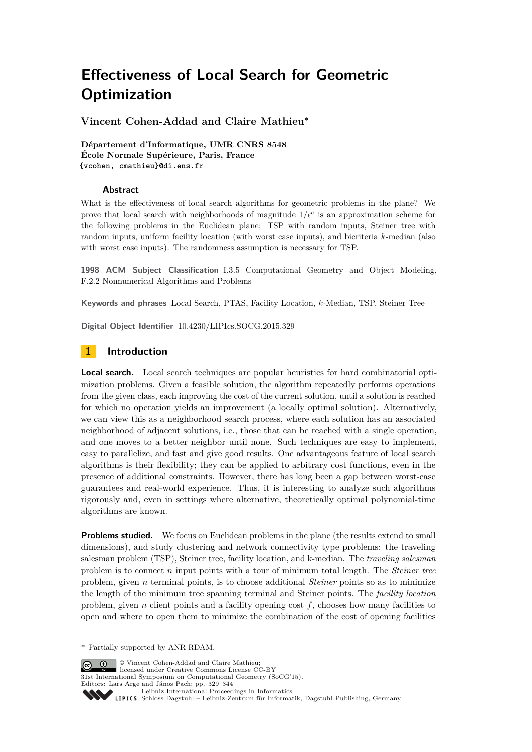**Vincent Cohen-Addad and Claire Mathieu<sup>∗</sup>**

**Département d'Informatique, UMR CNRS 8548 École Normale Supérieure, Paris, France {vcohen, cmathieu}@di.ens.fr**

**Abstract**

What is the effectiveness of local search algorithms for geometric problems in the plane? We prove that local search with neighborhoods of magnitude  $1/\epsilon^c$  is an approximation scheme for the following problems in the Euclidean plane: TSP with random inputs, Steiner tree with random inputs, uniform facility location (with worst case inputs), and bicriteria *k*-median (also with worst case inputs). The randomness assumption is necessary for TSP.

**1998 ACM Subject Classification** I.3.5 Computational Geometry and Object Modeling, F.2.2 Nonnumerical Algorithms and Problems

**Keywords and phrases** Local Search, PTAS, Facility Location, *k*-Median, TSP, Steiner Tree

**Digital Object Identifier** [10.4230/LIPIcs.SOCG.2015.329](http://dx.doi.org/10.4230/LIPIcs.SOCG.2015.329)

## **1 Introduction**

**Local search.** Local search techniques are popular heuristics for hard combinatorial optimization problems. Given a feasible solution, the algorithm repeatedly performs operations from the given class, each improving the cost of the current solution, until a solution is reached for which no operation yields an improvement (a locally optimal solution). Alternatively, we can view this as a neighborhood search process, where each solution has an associated neighborhood of adjacent solutions, i.e., those that can be reached with a single operation, and one moves to a better neighbor until none. Such techniques are easy to implement, easy to parallelize, and fast and give good results. One advantageous feature of local search algorithms is their flexibility; they can be applied to arbitrary cost functions, even in the presence of additional constraints. However, there has long been a gap between worst-case guarantees and real-world experience. Thus, it is interesting to analyze such algorithms rigorously and, even in settings where alternative, theoretically optimal polynomial-time algorithms are known.

**Problems studied.** We focus on Euclidean problems in the plane (the results extend to small dimensions), and study clustering and network connectivity type problems: the traveling salesman problem (TSP), Steiner tree, facility location, and k-median. The *traveling salesman* problem is to connect *n* input points with a tour of minimum total length. The *Steiner tree* problem, given *n* terminal points, is to choose additional *Steiner* points so as to minimize the length of the minimum tree spanning terminal and Steiner points. The *facility location* problem, given *n* client points and a facility opening cost *f*, chooses how many facilities to open and where to open them to minimize the combination of the cost of opening facilities

© Vincent Cohen-Addad and Claire Mathieu; licensed under Creative Commons License CC-BY 31st International Symposium on Computational Geometry (SoCG'15). Editors: Lars Arge and János Pach; pp. 329[–344](#page-15-0)



**<sup>∗</sup>** Partially supported by ANR RDAM.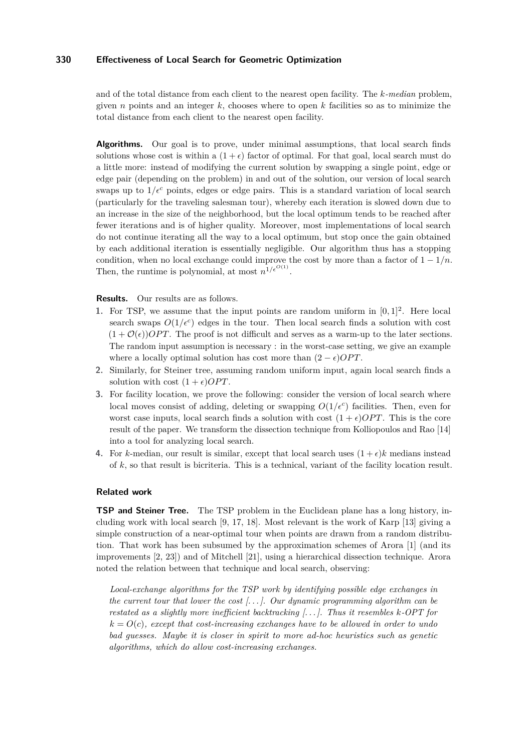and of the total distance from each client to the nearest open facility. The *k-median* problem, given *n* points and an integer *k*, chooses where to open *k* facilities so as to minimize the total distance from each client to the nearest open facility.

**Algorithms.** Our goal is to prove, under minimal assumptions, that local search finds solutions whose cost is within a  $(1 + \epsilon)$  factor of optimal. For that goal, local search must do a little more: instead of modifying the current solution by swapping a single point, edge or edge pair (depending on the problem) in and out of the solution, our version of local search swaps up to  $1/\epsilon^c$  points, edges or edge pairs. This is a standard variation of local search (particularly for the traveling salesman tour), whereby each iteration is slowed down due to an increase in the size of the neighborhood, but the local optimum tends to be reached after fewer iterations and is of higher quality. Moreover, most implementations of local search do not continue iterating all the way to a local optimum, but stop once the gain obtained by each additional iteration is essentially negligible. Our algorithm thus has a stopping condition, when no local exchange could improve the cost by more than a factor of  $1 - 1/n$ . Then, the runtime is polynomial, at most  $n^{1/\epsilon^{O(1)}}$ .

**Results.** Our results are as follows.

- **1.** For TSP, we assume that the input points are random uniform in  $[0, 1]^2$ . Here local search swaps  $O(1/\epsilon^c)$  edges in the tour. Then local search finds a solution with cost  $(1 + \mathcal{O}(\epsilon))$ *OPT*. The proof is not difficult and serves as a warm-up to the later sections. The random input assumption is necessary : in the worst-case setting, we give an example where a locally optimal solution has cost more than  $(2 - \epsilon)OPT$ .
- **2.** Similarly, for Steiner tree, assuming random uniform input, again local search finds a solution with cost  $(1 + \epsilon)$ *OPT*.
- **3.** For facility location, we prove the following: consider the version of local search where local moves consist of adding, deleting or swapping  $O(1/\epsilon^c)$  facilities. Then, even for worst case inputs, local search finds a solution with cost  $(1 + \epsilon)OPT$ . This is the core result of the paper. We transform the dissection technique from Kolliopoulos and Rao [\[14\]](#page-14-0) into a tool for analyzing local search.
- **4.** For *k*-median, our result is similar, except that local search uses  $(1 + \epsilon)k$  medians instead of *k*, so that result is bicriteria. This is a technical, variant of the facility location result.

#### **Related work**

**TSP and Steiner Tree.** The TSP problem in the Euclidean plane has a long history, including work with local search [\[9,](#page-14-1) [17,](#page-14-2) [18\]](#page-14-3). Most relevant is the work of Karp [\[13\]](#page-14-4) giving a simple construction of a near-optimal tour when points are drawn from a random distribution. That work has been subsumed by the approximation schemes of Arora [\[1\]](#page-13-0) (and its improvements [\[2,](#page-13-1) [23\]](#page-15-1)) and of Mitchell [\[21\]](#page-14-5), using a hierarchical dissection technique. Arora noted the relation between that technique and local search, observing:

*Local-exchange algorithms for the TSP work by identifying possible edge exchanges in the current tour that lower the cost [. . . ]. Our dynamic programming algorithm can be restated as a slightly more inefficient backtracking [. . . ]. Thus it resembles k-OPT for*  $k = O(c)$ *, except that cost-increasing exchanges have to be allowed in order to undo bad guesses. Maybe it is closer in spirit to more ad-hoc heuristics such as genetic algorithms, which do allow cost-increasing exchanges.*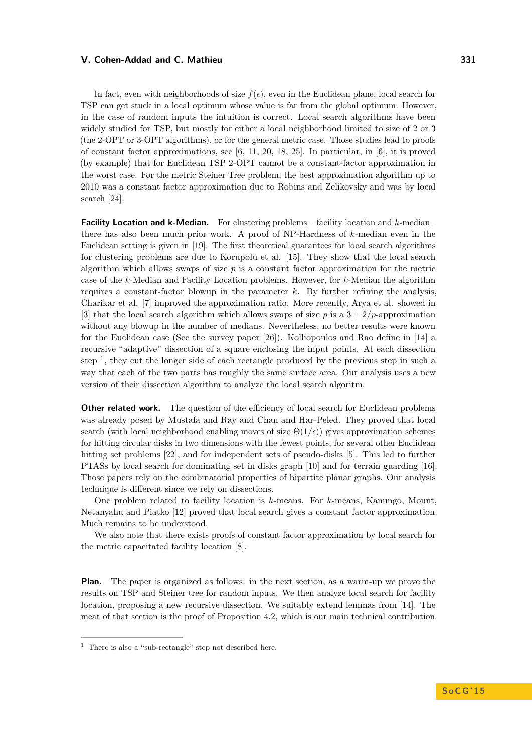In fact, even with neighborhoods of size  $f(\epsilon)$ , even in the Euclidean plane, local search for TSP can get stuck in a local optimum whose value is far from the global optimum. However, in the case of random inputs the intuition is correct. Local search algorithms have been widely studied for TSP, but mostly for either a local neighborhood limited to size of 2 or 3 (the 2-OPT or 3-OPT algorithms), or for the general metric case. Those studies lead to proofs of constant factor approximations, see  $[6, 11, 20, 18, 25]$  $[6, 11, 20, 18, 25]$  $[6, 11, 20, 18, 25]$  $[6, 11, 20, 18, 25]$  $[6, 11, 20, 18, 25]$  $[6, 11, 20, 18, 25]$  $[6, 11, 20, 18, 25]$  $[6, 11, 20, 18, 25]$  $[6, 11, 20, 18, 25]$ . In particular, in  $[6]$ , it is proved (by example) that for Euclidean TSP 2-OPT cannot be a constant-factor approximation in the worst case. For the metric Steiner Tree problem, the best approximation algorithm up to 2010 was a constant factor approximation due to Robins and Zelikovsky and was by local search [\[24\]](#page-15-3).

**Facility Location and k-Median.** For clustering problems – facility location and *k*-median – there has also been much prior work. A proof of NP-Hardness of *k*-median even in the Euclidean setting is given in [\[19\]](#page-14-9). The first theoretical guarantees for local search algorithms for clustering problems are due to Korupolu et al. [\[15\]](#page-14-10). They show that the local search algorithm which allows swaps of size  $p$  is a constant factor approximation for the metric case of the *k*-Median and Facility Location problems. However, for *k*-Median the algorithm requires a constant-factor blowup in the parameter  $k$ . By further refining the analysis, Charikar et al. [\[7\]](#page-14-11) improved the approximation ratio. More recently, Arya et al. showed in [\[3\]](#page-14-12) that the local search algorithm which allows swaps of size p is a  $3 + 2/p$ -approximation without any blowup in the number of medians. Nevertheless, no better results were known for the Euclidean case (See the survey paper [\[26\]](#page-15-4)). Kolliopoulos and Rao define in [\[14\]](#page-14-0) a recursive "adaptive" dissection of a square enclosing the input points. At each dissection step<sup>[1](#page-2-0)</sup>, they cut the longer side of each rectangle produced by the previous step in such a way that each of the two parts has roughly the same surface area. Our analysis uses a new version of their dissection algorithm to analyze the local search algoritm.

**Other related work.** The question of the efficiency of local search for Euclidean problems was already posed by Mustafa and Ray and Chan and Har-Peled. They proved that local search (with local neighborhood enabling moves of size  $\Theta(1/\epsilon)$ ) gives approximation schemes for hitting circular disks in two dimensions with the fewest points, for several other Euclidean hitting set problems [\[22\]](#page-14-13), and for independent sets of pseudo-disks [\[5\]](#page-14-14). This led to further PTASs by local search for dominating set in disks graph [\[10\]](#page-14-15) and for terrain guarding [\[16\]](#page-14-16). Those papers rely on the combinatorial properties of bipartite planar graphs. Our analysis technique is different since we rely on dissections.

One problem related to facility location is *k*-means. For *k*-means, Kanungo, Mount, Netanyahu and Piatko [\[12\]](#page-14-17) proved that local search gives a constant factor approximation. Much remains to be understood.

We also note that there exists proofs of constant factor approximation by local search for the metric capacitated facility location [\[8\]](#page-14-18).

**Plan.** The paper is organized as follows: in the next section, as a warm-up we prove the results on TSP and Steiner tree for random inputs. We then analyze local search for facility location, proposing a new recursive dissection. We suitably extend lemmas from [\[14\]](#page-14-0). The meat of that section is the proof of Proposition [4.2,](#page-8-0) which is our main technical contribution.

<span id="page-2-0"></span> $<sup>1</sup>$  There is also a "sub-rectangle" step not described here.</sup>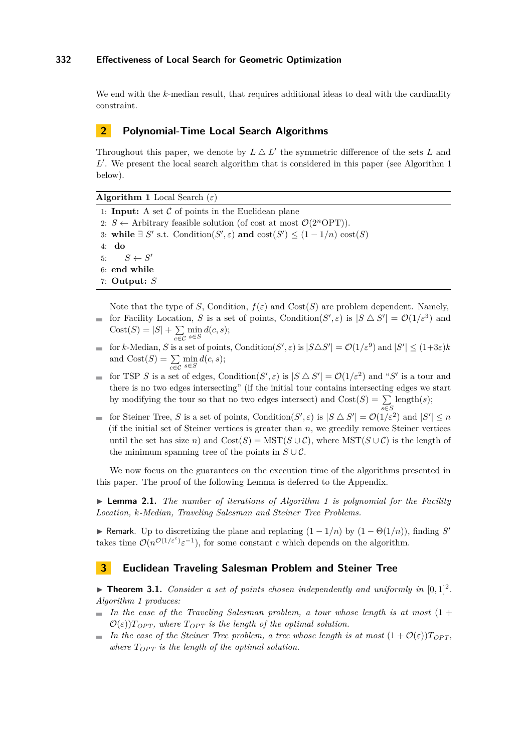We end with the *k*-median result, that requires additional ideas to deal with the cardinality constraint.

## **2 Polynomial-Time Local Search Algorithms**

Throughout this paper, we denote by  $L \Delta L'$  the symmetric difference of the sets *L* and L'. We present the local search algorithm that is considered in this paper (see Algorithm [1](#page-3-0) below).

<span id="page-3-0"></span>**Algorithm 1** Local Search (*ε*)

1: **Input:** A set  $\mathcal C$  of points in the Euclidean plane 2:  $S \leftarrow$  Arbitrary feasible solution (of cost at most  $\mathcal{O}(2^n\text{OPT})$ ). 3: **while**  $\exists S'$  s.t. Condition( $S', \varepsilon$ ) and  $\text{cost}(S') \leq (1 - 1/n) \text{cost}(S)$ 4: **do** 5:  $S \leftarrow S'$ 6: **end while** 7: **Output:** *S*

Note that the type of *S*, Condition,  $f(\varepsilon)$  and Cost(*S*) are problem dependent. Namely,

- for Facility Location, *S* is a set of points, Condition( $S', \varepsilon$ ) is  $|S \triangle S'| = \mathcal{O}(1/\varepsilon^3)$  and  $\equiv$  $Cost(S) = |S| + \sum$  $\min_{s \in S} d(c, s);$ *c*∈C
- for *k*-Median, *S* is a set of points, Condition(*S'*,  $\varepsilon$ ) is  $|S \triangle S'| = \mathcal{O}(1/\varepsilon^9)$  and  $|S'| \leq (1+3\varepsilon)k$ and  $Cost(S) = \sum$ *c*∈C  $\min_{s \in S} d(c, s);$
- for TSP *S* is a set of edges, Condition $(S', \varepsilon)$  is  $|S \triangle S'| = \mathcal{O}(1/\varepsilon^2)$  and "*S'* is a tour and there is no two edges intersecting" (if the initial tour contains intersecting edges we start by modifying the tour so that no two edges intersect) and  $Cost(S) = \sum$ length(*s*);

*s*∈*S*

for Steiner Tree, *S* is a set of points, Condition( $S', \varepsilon$ ) is  $|S \triangle S'| = \mathcal{O}(1/\varepsilon^2)$  and  $|S'| \le n$ (if the initial set of Steiner vertices is greater than *n*, we greedily remove Steiner vertices until the set has size *n*) and  $\text{Cost}(S) = \text{MST}(S \cup \mathcal{C})$ , where  $\text{MST}(S \cup \mathcal{C})$  is the length of the minimum spanning tree of the points in  $S \cup C$ .

We now focus on the guarantees on the execution time of the algorithms presented in this paper. The proof of the following Lemma is deferred to the Appendix.

I **Lemma 2.1.** *The number of iterations of Algorithm [1](#page-3-0) is polynomial for the Facility Location, k-Median, Traveling Salesman and Steiner Tree Problems.*

**► Remark**. Up to discretizing the plane and replacing  $(1 - 1/n)$  by  $(1 - \Theta(1/n))$ , finding *S'* takes time  $\mathcal{O}(n^{\mathcal{O}(1/\varepsilon^c)}\varepsilon^{-1})$ , for some constant *c* which depends on the algorithm.

## **3 Euclidean Traveling Salesman Problem and Steiner Tree**

<span id="page-3-1"></span>**Theorem 3.1.** *Consider a set of points chosen independently and uniformly in*  $[0, 1]^2$ *. Algorithm [1](#page-3-0) produces:*

- $\blacksquare$  In the case of the Traveling Salesman problem, a tour whose length is at most  $(1 +$  $\mathcal{O}(\varepsilon)$ ) $T_{OPT}$ *, where*  $T_{OPT}$  *is the length of the optimal solution.*
- *In the case of the Steiner Tree problem, a tree whose length is at most*  $(1 + \mathcal{O}(\varepsilon))T_{OPT}$ *where*  $T_{OPT}$  *is the length of the optimal solution.*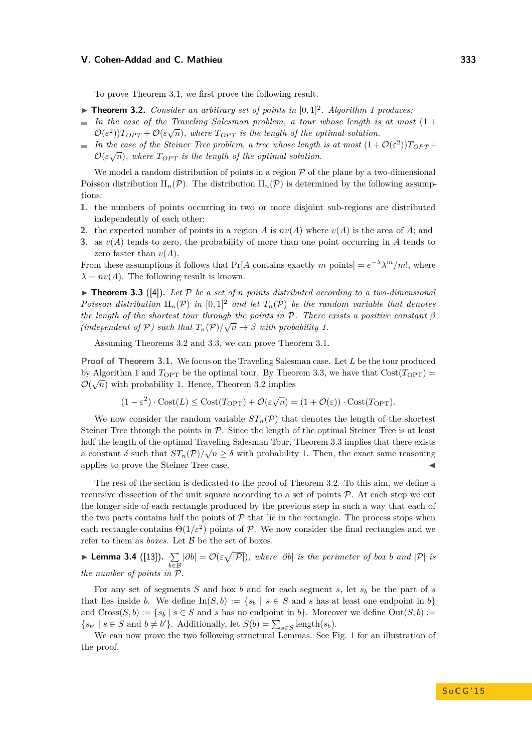To prove Theorem [3.1,](#page-3-1) we first prove the following result.

- <span id="page-4-0"></span> $\triangleright$  **Theorem 3.2.** *Consider an arbitrary set of points in*  $[0,1]^2$ *. Algorithm [1](#page-3-0) produces:*
- *In the case of the Traveling Salesman problem, a tour whose length is at most* (1 +  $\mathcal{O}(\varepsilon^2)$ ) $T_{OPT} + \mathcal{O}(\varepsilon \sqrt{n})$ , where  $T_{OPT}$  is the length of the optimal solution.
- *In the case of the Steiner Tree problem, a tree whose length is at most*  $(1 + \mathcal{O}(\varepsilon^2))T_{OPT} +$  $\mathcal{O}(\varepsilon\sqrt{n})$ , where  $T_{OPT}$  is the length of the optimal solution.

We model a random distribution of points in a region  $P$  of the plane by a two-dimensional Poisson distribution  $\Pi_n(\mathcal{P})$ . The distribution  $\Pi_n(\mathcal{P})$  is determined by the following assumptions:

- **1.** the numbers of points occurring in two or more disjoint sub-regions are distributed independently of each other;
- **2.** the expected number of points in a region *A* is  $nv(A)$  where  $v(A)$  is the area of *A*; and
- **3.** as *v*(*A*) tends to zero, the probability of more than one point occurring in *A* tends to zero faster than *v*(*A*).

From these assumptions it follows that Pr[*A* contains exactly *m* points] =  $e^{-\lambda} \lambda^m/m!$ , where  $\lambda = nv(A)$ . The following result is known.

<span id="page-4-1"></span> $\triangleright$  **Theorem 3.3** ([\[4\]](#page-14-19)). Let P be a set of *n* points distributed according to a two-dimensional *Poisson distribution*  $\Pi_n(\mathcal{P})$  *in*  $[0,1]^2$  *and let*  $T_n(\mathcal{P})$  *be the random variable that denotes the length of the shortest tour through the points in* P*. There exists a positive constant β (independent of*  $P$ *) such that*  $T_n(P)/\sqrt{n} \rightarrow \beta$  *with probability 1.* 

Assuming Theorems [3.2](#page-4-0) and [3.3,](#page-4-1) we can prove Theorem [3.1.](#page-3-1)

**Proof of Theorem [3.1.](#page-3-1)** We focus on the Traveling Salesman case. Let *L* be the tour produced by Algorithm [1](#page-3-0) and  $T_{\text{OPT}}$  be the optimal tour. By Theorem [3.3,](#page-4-1) we have that  $\text{Cost}(T_{\text{OPT}})$  =  $\mathcal{O}(\sqrt{n})$  with probability 1. Hence, Theorem [3.2](#page-4-0) implies

$$
(1 - \varepsilon^2) \cdot \text{Cost}(L) \le \text{Cost}(T_{\text{OPT}}) + \mathcal{O}(\varepsilon\sqrt{n}) = (1 + \mathcal{O}(\varepsilon)) \cdot \text{Cost}(T_{\text{OPT}}).
$$

We now consider the random variable  $ST_n(\mathcal{P})$  that denotes the length of the shortest Steiner Tree through the points in  $P$ . Since the length of the optimal Steiner Tree is at least half the length of the optimal Traveling Salesman Tour, Theorem [3.3](#page-4-1) implies that there exists a constant  $\delta$  such that  $ST_n(\mathcal{P})/\sqrt{n} \geq \delta$  with probability 1. Then, the exact same reasoning applies to prove the Steiner Tree case.

The rest of the section is dedicated to the proof of Theorem [3.2.](#page-4-0) To this aim, we define a recursive dissection of the unit square according to a set of points  $P$ . At each step we cut the longer side of each rectangle produced by the previous step in such a way that each of the two parts contains half the points of  $P$  that lie in the rectangle. The process stops when each rectangle contains  $\Theta(1/\varepsilon^2)$  points of P. We now consider the final rectangles and we refer to them as *boxes*. Let  $\beta$  be the set of boxes.

<span id="page-4-2"></span>**Demma 3.4** ([\[13\]](#page-14-4)).  $\sum$ *b*∈B  $|\partial b| = \mathcal{O}(\varepsilon \sqrt{|\mathcal{P}|})$ *, where*  $|\partial b|$  *is the perimeter of box b and*  $|\mathcal{P}|$  *is the number of points in* P*.*

For any set of segments *S* and box *b* and for each segment *s*, let *s<sup>b</sup>* be the part of *s* that lies inside *b*. We define  $\text{In}(S, b) := \{s_b \mid s \in S \text{ and } s \text{ has at least one endpoint in } b\}$ and  $Cross(S, b) := \{s_b \mid s \in S \text{ and } s \text{ has no endpoint in } b\}.$  Moreover we define  $Out(S, b) :=$  $\{s_{b'} \mid s \in S \text{ and } b \neq b'\}.$  Additionally, let  $S(b) = \sum_{s \in S} \text{length}(s_b)$ .

We can now prove the two following structural Lemmas. See Fig. [1](#page-5-0) for an illustration of the proof.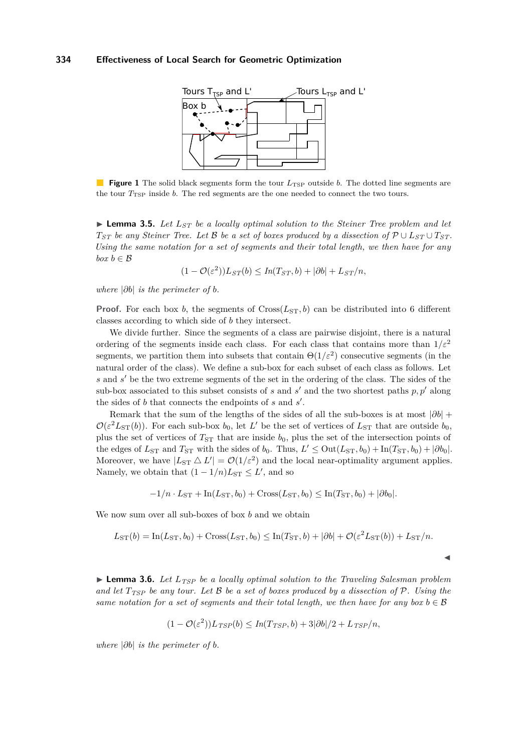<span id="page-5-0"></span>

**Figure 1** The solid black segments form the tour  $L_{\text{TSP}}$  outside *b*. The dotted line segments are the tour  $T_{\text{TSP}}$  inside *b*. The red segments are the one needed to connect the two tours.

<span id="page-5-1"></span> $\triangleright$  **Lemma 3.5.** Let  $L_{ST}$  be a locally optimal solution to the Steiner Tree problem and let *T*<sub>ST</sub> *be any Steiner Tree. Let*  $\mathcal{B}$  *be a set of boxes produced by a dissection of*  $\mathcal{P} \cup L_{ST} \cup T_{ST}$ . *Using the same notation for a set of segments and their total length, we then have for any box*  $b \in \mathcal{B}$ 

$$
(1 - \mathcal{O}(\varepsilon^2))L_{ST}(b) \leq In(T_{ST}, b) + |\partial b| + L_{ST}/n,
$$

*where* |*∂b*| *is the perimeter of b.*

**Proof.** For each box *b*, the segments of  $Cross(L_{ST}, b)$  can be distributed into 6 different classes according to which side of *b* they intersect.

We divide further. Since the segments of a class are pairwise disjoint, there is a natural ordering of the segments inside each class. For each class that contains more than  $1/\varepsilon^2$ segments, we partition them into subsets that contain  $\Theta(1/\varepsilon^2)$  consecutive segments (in the natural order of the class). We define a sub-box for each subset of each class as follows. Let *s* and *s'* be the two extreme segments of the set in the ordering of the class. The sides of the sub-box associated to this subset consists of  $s$  and  $s'$  and the two shortest paths  $p, p'$  along the sides of  $b$  that connects the endpoints of  $s$  and  $s'$ .

Remark that the sum of the lengths of the sides of all the sub-boxes is at most |*∂b*| +  $\mathcal{O}(\varepsilon^2 L_{ST}(b))$ . For each sub-box  $b_0$ , let *L*' be the set of vertices of  $L_{ST}$  that are outside  $b_0$ , plus the set of vertices of  $T_{ST}$  that are inside  $b_0$ , plus the set of the intersection points of the edges of  $L_{ST}$  and  $T_{ST}$  with the sides of  $b_0$ . Thus,  $L' \leq Out(L_{ST}, b_0) + In(T_{ST}, b_0) + |\partial b_0|$ . Moreover, we have  $|L_{ST} \triangle L'| = \mathcal{O}(1/\varepsilon^2)$  and the local near-optimality argument applies. Namely, we obtain that  $(1 - 1/n)L_{ST} \leq L'$ , and so

$$
-1/n \cdot L_{ST} + \ln(L_{ST}, b_0) + \text{Cross}(L_{ST}, b_0) \le \ln(T_{ST}, b_0) + |\partial b_0|.
$$

We now sum over all sub-boxes of box *b* and we obtain

$$
L_{\rm ST}(b) = \ln(L_{\rm ST}, b_0) + \text{Cross}(L_{\rm ST}, b_0) \leq \ln(T_{\rm ST}, b) + |\partial b| + \mathcal{O}(\varepsilon^2 L_{\rm ST}(b)) + L_{\rm ST}/n.
$$

 $\blacktriangleleft$ 

<span id="page-5-2"></span>► **Lemma 3.6.** *Let*  $L_{TSP}$  *be a locally optimal solution to the Traveling Salesman problem* and let  $T_{TSP}$  be any tour. Let  $\beta$  be a set of boxes produced by a dissection of  $\mathcal{P}$ . Using the *same notation for a set of segments and their total length, we then have for any box*  $b \in \mathcal{B}$ 

$$
(1 - \mathcal{O}(\varepsilon^2)) L_{TSP}(b) \leq In(T_{TSP}, b) + 3|\partial b|/2 + L_{TSP}/n,
$$

*where* |*∂b*| *is the perimeter of b.*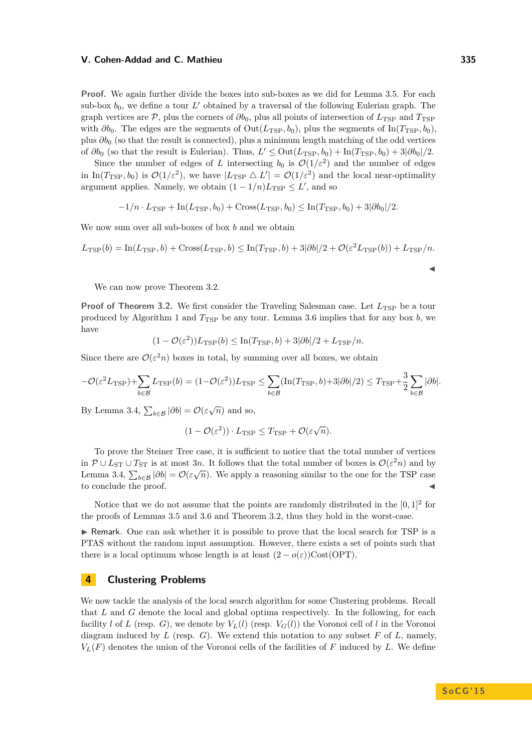**Proof.** We again further divide the boxes into sub-boxes as we did for Lemma [3.5.](#page-5-1) For each sub-box  $b_0$ , we define a tour  $L'$  obtained by a traversal of the following Eulerian graph. The graph vertices are  $\mathcal{P}$ , plus the corners of  $\partial b_0$ , plus all points of intersection of  $L_{\text{TSP}}$  and  $T_{\text{TSP}}$ with  $\partial b_0$ . The edges are the segments of  $Out(L_{TSP}, b_0)$ , plus the segments of In( $T_{TSP}, b_0$ ), plus  $\partial b_0$  (so that the result is connected), plus a minimum length matching of the odd vertices of  $\partial b_0$  (so that the result is Eulerian). Thus,  $L' \leq \text{Out}(L_{\text{TSP}}, b_0) + \text{In}(T_{\text{TSP}}, b_0) + 3|\partial b_0|/2$ .

Since the number of edges of *L* intersecting  $b_0$  is  $\mathcal{O}(1/\varepsilon^2)$  and the number of edges in  $\text{In}(T_{\text{TSP}}, b_0)$  is  $\mathcal{O}(1/\varepsilon^2)$ , we have  $|L_{\text{TSP}} \triangle L'| = \mathcal{O}(1/\varepsilon^2)$  and the local near-optimality argument applies. Namely, we obtain  $(1 - 1/n)L_{\text{TSP}} \leq L'$ , and so

$$
-1/n \cdot L_{\text{TSP}} + \text{In}(L_{\text{TSP}}, b_0) + \text{Cross}(L_{\text{TSP}}, b_0) \le \text{In}(T_{\text{TSP}}, b_0) + 3|\partial b_0|/2.
$$

We now sum over all sub-boxes of box *b* and we obtain

$$
L_{\text{TSP}}(b) = \text{In}(L_{\text{TSP}},b) + \text{Cross}(L_{\text{TSP}},b) \le \text{In}(T_{\text{TSP}},b) + 3|\partial b|/2 + \mathcal{O}(\varepsilon^2 L_{\text{TSP}}(b)) + L_{\text{TSP}}/n.
$$

We can now prove Theorem [3.2.](#page-4-0)

**Proof of Theorem [3.2.](#page-4-0)** We first consider the Traveling Salesman case. Let  $L_{\text{TSP}}$  be a tour produced by Algorithm [1](#page-3-0) and  $T_{\text{TSP}}$  be any tour. Lemma [3.6](#page-5-2) implies that for any box *b*, we have

$$
(1 - \mathcal{O}(\varepsilon^2)) L_{\text{TSP}}(b) \le \ln(T_{\text{TSP}}, b) + 3|\partial b|/2 + L_{\text{TSP}}/n.
$$

Since there are  $\mathcal{O}(\varepsilon^2 n)$  boxes in total, by summing over all boxes, we obtain

$$
-\mathcal{O}(\varepsilon^2 L_\text{TSP}) + \sum_{b \in \mathcal{B}} L_\text{TSP}(b) = (1 - \mathcal{O}(\varepsilon^2)) L_\text{TSP} \le \sum_{b \in \mathcal{B}} (\text{In}(T_\text{TSP}, b) + 3|\partial b|/2) \le T_\text{TSP} + \frac{3}{2} \sum_{b \in \mathcal{B}} |\partial b|.
$$

By Lemma [3.4,](#page-4-2)  $\sum_{b \in \mathcal{B}} |\partial b| = \mathcal{O}(\varepsilon \sqrt{n})$  and so,

$$
(1 - \mathcal{O}(\varepsilon^2)) \cdot L_{\text{TSP}} \le T_{\text{TSP}} + \mathcal{O}(\varepsilon \sqrt{n}).
$$

To prove the Steiner Tree case, it is sufficient to notice that the total number of vertices in  $\mathcal{P} \cup L_{ST} \cup T_{ST}$  is at most 3*n*. It follows that the total number of boxes is  $\mathcal{O}(\varepsilon^2 n)$  and by Lemma [3.4,](#page-4-2)  $\sum_{b \in \mathcal{B}} |\partial b| = \mathcal{O}(\varepsilon \sqrt{n})$ . We apply a reasoning similar to the one for the TSP case to conclude the proof.

Notice that we do not assume that the points are randomly distributed in the  $[0,1]^2$  for the proofs of Lemmas [3.5](#page-5-1) and [3.6](#page-5-2) and Theorem [3.2,](#page-4-0) thus they hold in the worst-case.

► Remark. One can ask whether it is possible to prove that the local search for TSP is a PTAS without the random input assumption. However, there exists a set of points such that there is a local optimum whose length is at least  $(2 - o(\varepsilon))\text{Cost}(\text{OPT})$ .

## **4 Clustering Problems**

We now tackle the analysis of the local search algorithm for some Clustering problems. Recall that *L* and *G* denote the local and global optima respectively. In the following, for each facility *l* of *L* (resp. *G*), we denote by  $V_L(l)$  (resp.  $V_G(l)$ ) the Voronoi cell of *l* in the Voronoi diagram induced by  $L$  (resp.  $G$ ). We extend this notation to any subset  $F$  of  $L$ , namely,  $V_L(F)$  denotes the union of the Voronoi cells of the facilities of F induced by L. We define

J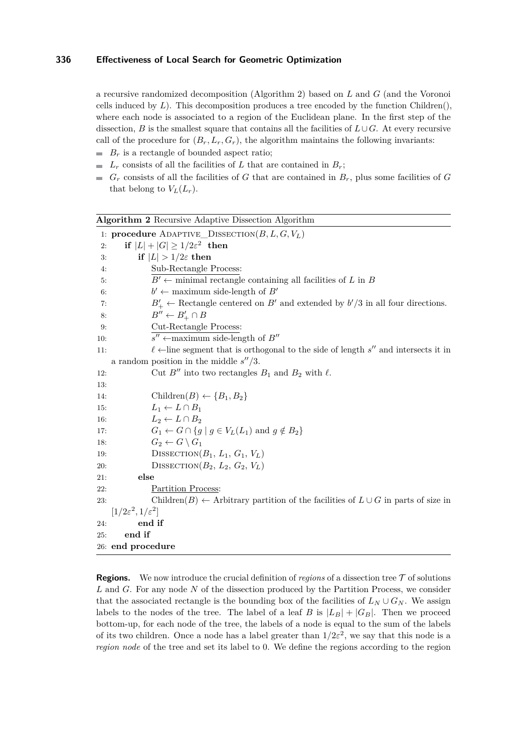a recursive randomized decomposition (Algorithm [2\)](#page-7-0) based on *L* and *G* (and the Voronoi cells induced by  $L$ ). This decomposition produces a tree encoded by the function Children(), where each node is associated to a region of the Euclidean plane. In the first step of the dissection, *B* is the smallest square that contains all the facilities of  $L\cup G$ . At every recursive call of the procedure for  $(B_r, L_r, G_r)$ , the algorithm maintains the following invariants:

- $B_r$  is a rectangle of bounded aspect ratio:
- $\blacksquare$  *L<sub>r</sub>* consists of all the facilities of *L* that are contained in  $B_r$ ;
- $G_r$  consists of all the facilities of *G* that are contained in  $B_r$ , plus some facilities of *G* that belong to  $V_L(L_r)$ .

<span id="page-7-0"></span>

| Algorithm 2 Recursive Adaptive Dissection Algorithm                                                       |
|-----------------------------------------------------------------------------------------------------------|
| 1: <b>procedure</b> ADAPTIVE_DISSECTION( $B, L, G, V_L$ )                                                 |
| if $ L  +  G  \ge 1/2\varepsilon^2$ then<br>2:                                                            |
| if $ L  > 1/2\varepsilon$ then<br>3:                                                                      |
| Sub-Rectangle Process:<br>4:                                                                              |
| $B' \leftarrow$ minimal rectangle containing all facilities of L in B<br>5:                               |
| $b' \leftarrow$ maximum side-length of $B'$<br>6:                                                         |
| $B'_{+} \leftarrow$ Rectangle centered on B' and extended by $b'/3$ in all four directions.<br>7:         |
| $B'' \leftarrow B'_+ \cap B$<br>8:                                                                        |
| Cut-Rectangle Process:<br>9:                                                                              |
| $\overline{s'' \leftarrow \text{maximum side-length of } B''}$<br>10:                                     |
| $\ell \leftarrow$ line segment that is orthogonal to the side of length $s''$ and intersects it in<br>11: |
| a random position in the middle $s''/3$ .                                                                 |
| Cut B'' into two rectangles $B_1$ and $B_2$ with $\ell$ .<br>12:                                          |
| 13:                                                                                                       |
| $Children(B) \leftarrow \{B_1, B_2\}$<br>14:                                                              |
| $L_1 \leftarrow L \cap B_1$<br>15:                                                                        |
| $L_2 \leftarrow L \cap B_2$<br>16:                                                                        |
| $G_1 \leftarrow G \cap \{g \mid g \in V_L(L_1) \text{ and } g \notin B_2\}$<br>17:                        |
| $G_2 \leftarrow G \setminus G_1$<br>18:                                                                   |
| DISSECTION( $B_1, L_1, G_1, V_L$ )<br>19:                                                                 |
| DISSECTION( $B_2$ , $L_2$ , $G_2$ , $V_L$ )<br>20:                                                        |
| else<br>21:                                                                                               |
| Partition Process:<br>22:                                                                                 |
| Children(B) $\leftarrow$ Arbitrary partition of the facilities of $L \cup G$ in parts of size in<br>23:   |
| $[1/2\varepsilon^2, 1/\varepsilon^2]$                                                                     |
| end if<br>24:                                                                                             |
| end if<br>25:                                                                                             |
| 26: end procedure                                                                                         |

**Regions.** We now introduce the crucial definition of *regions* of a dissection tree  $\mathcal T$  of solutions *L* and *G*. For any node *N* of the dissection produced by the Partition Process, we consider that the associated rectangle is the bounding box of the facilities of  $L_N \cup G_N$ . We assign labels to the nodes of the tree. The label of a leaf *B* is  $|L_B| + |G_B|$ . Then we proceed bottom-up, for each node of the tree, the labels of a node is equal to the sum of the labels of its two children. Once a node has a label greater than  $1/2\varepsilon^2$ , we say that this node is a *region node* of the tree and set its label to 0. We define the regions according to the region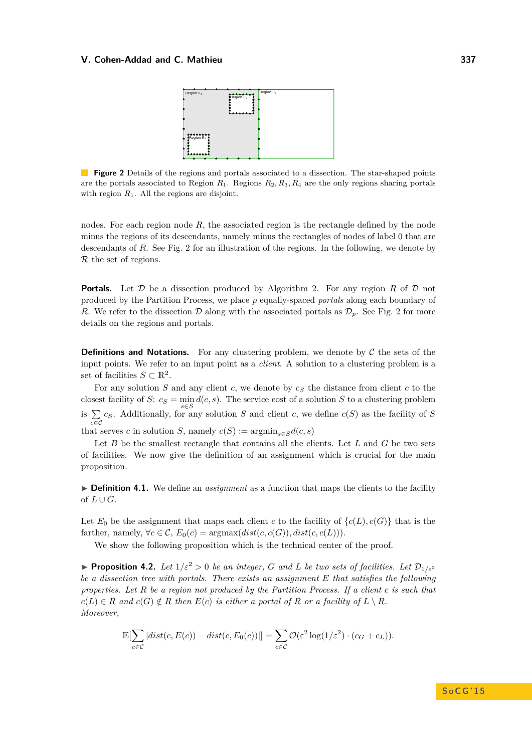

<span id="page-8-1"></span>**Figure 2** Details of the regions and portals associated to a dissection. The star-shaped points are the portals associated to Region  $R_1$ . Regions  $R_2, R_3, R_4$  are the only regions sharing portals with region  $R_1$ . All the regions are disjoint.

nodes. For each region node R, the associated region is the rectangle defined by the node minus the regions of its descendants, namely minus the rectangles of nodes of label 0 that are descendants of *R*. See Fig. [2](#page-8-1) for an illustration of the regions. In the following, we denote by  $\mathcal R$  the set of regions.

**Portals.** Let D be a dissection produced by Algorithm [2.](#page-7-0) For any region R of D not produced by the Partition Process, we place *p* equally-spaced *portals* along each boundary of *R*. We refer to the dissection D along with the associated portals as  $\mathcal{D}_p$ . See Fig. [2](#page-8-1) for more details on the regions and portals.

**Definitions and Notations.** For any clustering problem, we denote by  $C$  the sets of the input points. We refer to an input point as a *client*. A solution to a clustering problem is a set of facilities  $S \subset \mathbb{R}^2$ .

For any solution *S* and any client *c*, we denote by *c<sup>S</sup>* the distance from client *c* to the closest facility of *S*:  $c_S = \min_{s \in S} d(c, s)$ . The service cost of a solution *S* to a clustering problem is P  $\sum_{c \in \mathcal{C}} c_S$ . Additionally, for any solution *S* and client *c*, we define *c*(*S*) as the facility of *S* that serves *c* in solution *S*, namely  $c(S) := \operatorname{argmin}_{s \in S} d(c, s)$ 

Let *B* be the smallest rectangle that contains all the clients. Let *L* and *G* be two sets of facilities. We now give the definition of an assignment which is crucial for the main proposition.

▶ **Definition 4.1.** We define an *assignment* as a function that maps the clients to the facility of  $L \cup G$ .

Let  $E_0$  be the assignment that maps each client *c* to the facility of  $\{c(L), c(G)\}$  that is the farther, namely,  $\forall c \in \mathcal{C}$ ,  $E_0(c) = \text{argmax}(dist(c, c(G)), dist(c, c(L))).$ 

We show the following proposition which is the technical center of the proof.

<span id="page-8-0"></span>**Proposition 4.2.** *Let*  $1/\varepsilon^2 > 0$  *be an integer, G and L be two sets of facilities. Let*  $\mathcal{D}_{1/\varepsilon^2}$ *be a dissection tree with portals. There exists an assignment E that satisfies the following properties. Let R be a region not produced by the Partition Process. If a client c is such that*  $c(L) \in R$  *and*  $c(G) \notin R$  *then*  $E(c)$  *is either a portal of*  $R$  *or a facility of*  $L \setminus R$ *. Moreover,*

$$
\mathbb{E}[\sum_{c \in \mathcal{C}} |dist(c, E(c)) - dist(c, E_0(c))|] = \sum_{c \in \mathcal{C}} \mathcal{O}(\varepsilon^2 \log(1/\varepsilon^2) \cdot (c_G + c_L)).
$$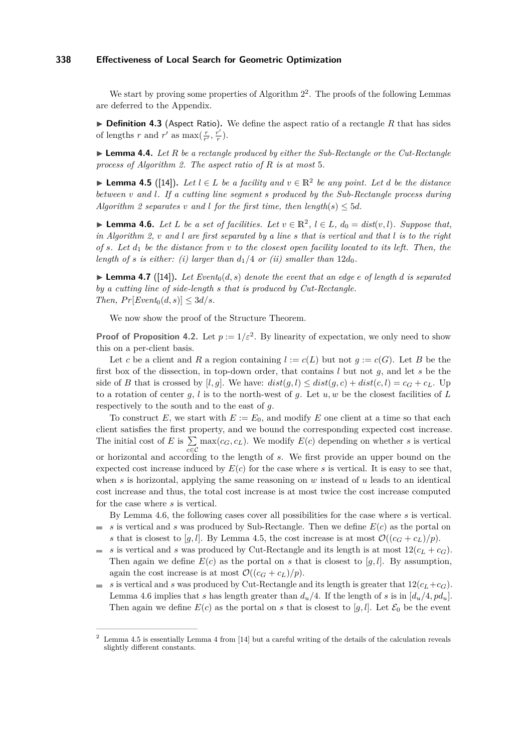We start by proving some properties of Algorithm  $2<sup>2</sup>$  $2<sup>2</sup>$ . The proofs of the following Lemmas are deferred to the Appendix.

 $\triangleright$  **Definition 4.3** (Aspect Ratio). We define the aspect ratio of a rectangle R that has sides of lengths *r* and  $r'$  as  $\max(\frac{r}{r'}, \frac{r'}{r})$ *r* ).

 $\blacktriangleright$  **Lemma 4.4.** Let  $R$  be a rectangle produced by either the Sub-Rectangle or the Cut-Rectangle *process of Algorithm [2.](#page-7-0) The aspect ratio of R is at most* 5*.*

<span id="page-9-2"></span>▶ **Lemma 4.5** ([\[14\]](#page-14-0)). Let  $l \in L$  be a facility and  $v \in \mathbb{R}^2$  be any point. Let d be the distance *between v and l. If a cutting line segment s produced by the Sub-Rectangle process during Algorithm* [2](#page-7-0) *separates v and l for the first time, then length*( $s$ )  $\leq 5d$ .

<span id="page-9-1"></span>▶ **Lemma 4.6.** Let *L* be a set of facilities. Let  $v \in \mathbb{R}^2$ ,  $l \in L$ ,  $d_0 = dist(v, l)$ *. Suppose that, in Algorithm [2,](#page-7-0) v and l are first separated by a line s that is vertical and that l is to the right of s. Let d*<sup>1</sup> *be the distance from v to the closest open facility located to its left. Then, the length of s is either: (i) larger than*  $d_1/4$  *or (ii) smaller than*  $12d_0$ *.* 

<span id="page-9-3"></span> $\blacktriangleright$  **Lemma 4.7** ([\[14\]](#page-14-0)). Let Event<sub>0</sub>(*d, s*) *denote the event that an edge e of length <i>d is separated by a cutting line of side-length s that is produced by Cut-Rectangle. Then,*  $Pr[Event_0(d, s)] \leq 3d/s$ .

We now show the proof of the Structure Theorem.

**Proof of Proposition [4.2.](#page-8-0)** Let  $p := 1/\varepsilon^2$ . By linearity of expectation, we only need to show this on a per-client basis.

Let *c* be a client and *R* a region containing  $l := c(L)$  but not  $g := c(G)$ . Let *B* be the first box of the dissection, in top-down order, that contains *l* but not *g*, and let *s* be the side of *B* that is crossed by [*l, g*]. We have:  $dist(g, l) \leq dist(g, c) + dist(c, l) = c_G + c_L$ . Up to a rotation of center  $g$ ,  $l$  is to the north-west of  $g$ . Let  $u, w$  be the closest facilities of  $L$ respectively to the south and to the east of *g*.

To construct *E*, we start with  $E := E_0$ , and modify *E* one client at a time so that each client satisfies the first property, and we bound the corresponding expected cost increase. The initial cost of *E* is  $\Sigma$  $\sum_{c \in \mathcal{C}} \max(c_G, c_L)$ . We modify  $E(c)$  depending on whether *s* is vertical or horizontal and according to the length of *s*. We first provide an upper bound on the expected cost increase induced by  $E(c)$  for the case where *s* is vertical. It is easy to see that, when *s* is horizontal, applying the same reasoning on *w* instead of *u* leads to an identical cost increase and thus, the total cost increase is at most twice the cost increase computed for the case where *s* is vertical.

By Lemma [4.6,](#page-9-1) the following cases cover all possibilities for the case where *s* is vertical.

- $s$  is vertical and *s* was produced by Sub-Rectangle. Then we define  $E(c)$  as the portal on *s* that is closest to [*g, l*]. By Lemma [4.5,](#page-9-2) the cost increase is at most  $\mathcal{O}((c_G + c_L)/p)$ .
- *s* is vertical and *s* was produced by Cut-Rectangle and its length is at most  $12(c_L + c_G)$ .  $\overline{\phantom{a}}$ Then again we define  $E(c)$  as the portal on *s* that is closest to [g, l]. By assumption, again the cost increase is at most  $\mathcal{O}((c_G + c_L)/p)$ .
- *s* is vertical and *s* was produced by Cut-Rectangle and its length is greater that  $12(c_L+c_G)$ . Lemma [4.6](#page-9-1) implies that *s* has length greater than  $d_u/4$ . If the length of *s* is in  $[d_u/4, pd_u]$ . Then again we define  $E(c)$  as the portal on *s* that is closest to [g, l]. Let  $\mathcal{E}_0$  be the event

<span id="page-9-0"></span><sup>2</sup> Lemma [4.5](#page-9-2) is essentially Lemma 4 from [\[14\]](#page-14-0) but a careful writing of the details of the calculation reveals slightly different constants.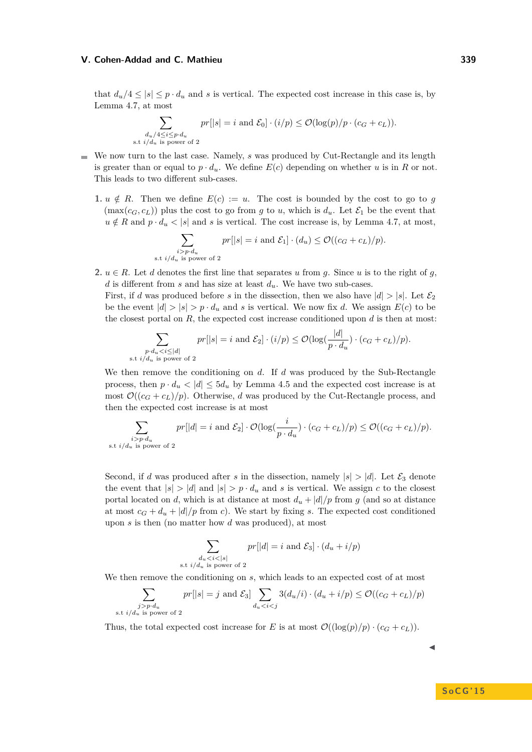s.t *i/d<sup>u</sup>* is power of 2

that  $d_u/4 \leq |s| \leq p \cdot d_u$  and s is vertical. The expected cost increase in this case is, by Lemma [4.7,](#page-9-3) at most

$$
\sum_{\substack{d_u/4 \le i \le p \cdot d_u \\ \text{s.t } i/d_u \text{ is power of 2}}} pr[|s| = i \text{ and } \mathcal{E}_0] \cdot (i/p) \le \mathcal{O}(\log(p)/p \cdot (c_G + c_L)).
$$

- We now turn to the last case. Namely, *s* was produced by Cut-Rectangle and its length is greater than or equal to  $p \cdot d_u$ . We define  $E(c)$  depending on whether *u* is in *R* or not. This leads to two different sub-cases.
	- **1.**  $u \notin R$ . Then we define  $E(c) := u$ . The cost is bounded by the cost to go to g  $(\max(c_G, c_L))$  plus the cost to go from *q* to *u*, which is  $d_u$ . Let  $\mathcal{E}_1$  be the event that  $u \notin R$  and  $p \cdot d_u < |s|$  and *s* is vertical. The cost increase is, by Lemma [4.7,](#page-9-3) at most,

$$
\sum_{\substack{i > p \cdot d_u \\ \text{s.t } i/d_u \text{ is power of 2}}} pr[|s| = i \text{ and } \mathcal{E}_1] \cdot (d_u) \le \mathcal{O}((c_G + c_L)/p).
$$

**2.**  $u \in R$ . Let *d* denotes the first line that separates *u* from *g*. Since *u* is to the right of *g*, *d* is different from *s* and has size at least  $d_u$ . We have two sub-cases.

First, if *d* was produced before *s* in the dissection, then we also have  $|d| > |s|$ . Let  $\mathcal{E}_2$ be the event  $|d| > |s| > p \cdot d_u$  and *s* is vertical. We now fix *d*. We assign  $E(c)$  to be the closest portal on  $R$ , the expected cost increase conditioned upon  $d$  is then at most:

$$
\sum_{\substack{p \cdot d_u < i \le |d| \\ \text{s.t } i/d_u \text{ is power of 2}}} pr[|s| = i \text{ and } \mathcal{E}_2] \cdot (i/p) \le \mathcal{O}(\log(\frac{|d|}{p \cdot d_u}) \cdot (c_G + c_L)/p).
$$

We then remove the conditioning on *d*. If *d* was produced by the Sub-Rectangle process, then  $p \cdot d_u < |d| \leq 5d_u$  by Lemma [4.5](#page-9-2) and the expected cost increase is at most  $\mathcal{O}((c_G + c_L)/p)$ . Otherwise, *d* was produced by the Cut-Rectangle process, and then the expected cost increase is at most

$$
\sum_{\substack{i > p \cdot d_u \\ i/d_u \text{ is power of 2}}} pr[|d| = i \text{ and } \mathcal{E}_2] \cdot \mathcal{O}(\log(\frac{i}{p \cdot d_u}) \cdot (c_G + c_L)/p) \leq \mathcal{O}((c_G + c_L)/p).
$$

Second, if *d* was produced after *s* in the dissection, namely  $|s| > |d|$ . Let  $\mathcal{E}_3$  denote the event that  $|s| > |d|$  and  $|s| > p \cdot d_u$  and s is vertical. We assign c to the closest portal located on *d*, which is at distance at most  $d_u + |d|/p$  from *g* (and so at distance at most  $c_G + d_u + |d|/p$  from *c*). We start by fixing *s*. The expected cost conditioned upon *s* is then (no matter how *d* was produced), at most

$$
\sum_{\substack{d_u < i < |s| \\ \text{s.t. } i/d_u \text{ is power of 2}}} pr[|d| = i \text{ and } \mathcal{E}_3] \cdot (d_u + i/p)
$$

We then remove the conditioning on *s*, which leads to an expected cost of at most

$$
\sum_{\substack{j > p \cdot d_u \\ \text{s.t } i/d_u \text{ is power of 2}}} pr[|s| = j \text{ and } \mathcal{E}_3] \sum_{d_u < i < j} 3(d_u/i) \cdot (d_u + i/p) \le \mathcal{O}((c_G + c_L)/p)
$$

Thus, the total expected cost increase for *E* is at most  $\mathcal{O}((\log(p)/p) \cdot (c_G + c_L)).$ 

 $\blacktriangleleft$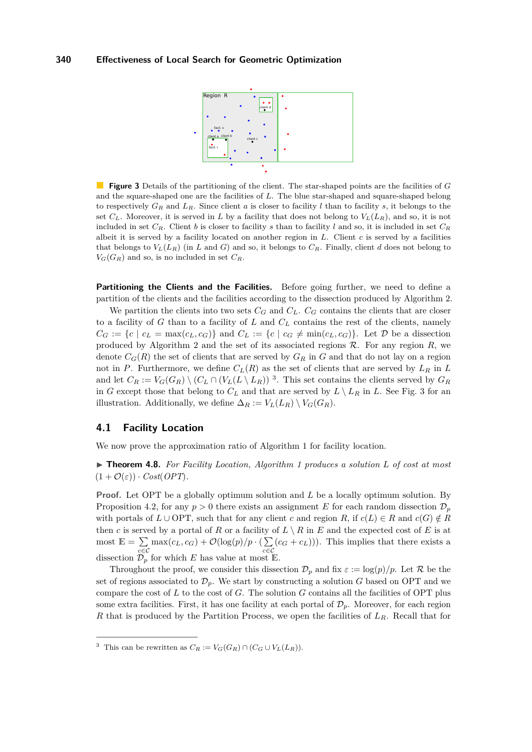<span id="page-11-1"></span>

**Figure 3** Details of the partitioning of the client. The star-shaped points are the facilities of *G* and the square-shaped one are the facilities of *L*. The blue star-shaped and square-shaped belong to respectively  $G_R$  and  $L_R$ . Since client  $a$  is closer to facility  $l$  than to facility  $s$ , it belongs to the set  $C_L$ . Moreover, it is served in *L* by a facility that does not belong to  $V_L(L_R)$ , and so, it is not included in set  $C_R$ . Client *b* is closer to facility *s* than to facility *l* and so, it is included in set  $C_R$ albeit it is served by a facility located on another region in *L*. Client *c* is served by a facilities that belongs to  $V_L(L_R)$  (in *L* and *G*) and so, it belongs to  $C_R$ . Finally, client *d* does not belong to  $V_G(G_R)$  and so, is no included in set  $C_R$ .

Partitioning the Clients and the Facilities. Before going further, we need to define a partition of the clients and the facilities according to the dissection produced by Algorithm [2.](#page-7-0)

We partition the clients into two sets  $C_G$  and  $C_L$ .  $C_G$  contains the clients that are closer to a facility of *G* than to a facility of *L* and *C<sup>L</sup>* contains the rest of the clients, namely  $C_G := \{c \mid c_L = \max(c_L, c_G)\}\$ and  $C_L := \{c \mid c_G \neq \min(c_L, c_G)\}\$ . Let  $\mathcal D$  be a dissection produced by Algorithm [2](#page-7-0) and the set of its associated regions  $\mathcal{R}$ . For any region  $R$ , we denote  $C_G(R)$  the set of clients that are served by  $G_R$  in  $G$  and that do not lay on a region not in *P*. Furthermore, we define  $C_L(R)$  as the set of clients that are served by  $L_R$  in  $L$ and let  $C_R := V_G(G_R) \setminus (C_L \cap (V_L(L \setminus L_R))$ <sup>[3](#page-11-0)</sup>. This set contains the clients served by  $G_R$ in *G* except those that belong to  $C_L$  and that are served by  $L \setminus L_R$  in *L*. See Fig. [3](#page-11-1) for an illustration. Additionally, we define  $\Delta_R := V_L(L_R) \setminus V_G(G_R)$ .

## **4.1 Facility Location**

We now prove the approximation ratio of Algorithm [1](#page-3-0) for facility location.

<span id="page-11-2"></span>I **Theorem 4.8.** *For Facility Location, Algorithm [1](#page-3-0) produces a solution L of cost at most*  $(1 + \mathcal{O}(\varepsilon)) \cdot Cost(OPT)$ .

**Proof.** Let OPT be a globally optimum solution and *L* be a locally optimum solution. By Proposition [4.2,](#page-8-0) for any  $p > 0$  there exists an assignment *E* for each random dissection  $\mathcal{D}_p$ with portals of  $L \cup \text{OPT}$ , such that for any client *c* and region  $R$ , if  $c(L) \in R$  and  $c(G) \notin R$ then *c* is served by a portal of *R* or a facility of  $L \setminus R$  in *E* and the expected cost of *E* is at most  $\mathbb{E} = \sum$  $\sum_{c \in \mathcal{C}} \max(c_L, c_G) + \mathcal{O}(\log(p)/p \cdot (\sum_{c \in \mathcal{C}}$  $\sum_{c \in \mathcal{C}} (c_G + c_L)$ )). This implies that there exists a dissection  $\mathcal{D}_p$  for which *E* has value at most *E*.

Throughout the proof, we consider this dissection  $\mathcal{D}_p$  and fix  $\varepsilon := \log(p)/p$ . Let R be the set of regions associated to  $\mathcal{D}_p$ . We start by constructing a solution *G* based on OPT and we compare the cost of *L* to the cost of *G*. The solution *G* contains all the facilities of OPT plus some extra facilities. First, it has one facility at each portal of  $\mathcal{D}_p$ . Moreover, for each region *R* that is produced by the Partition Process, we open the facilities of *LR*. Recall that for

<span id="page-11-0"></span><sup>&</sup>lt;sup>3</sup> This can be rewritten as  $C_R := V_G(G_R) \cap (C_G \cup V_L(L_R)).$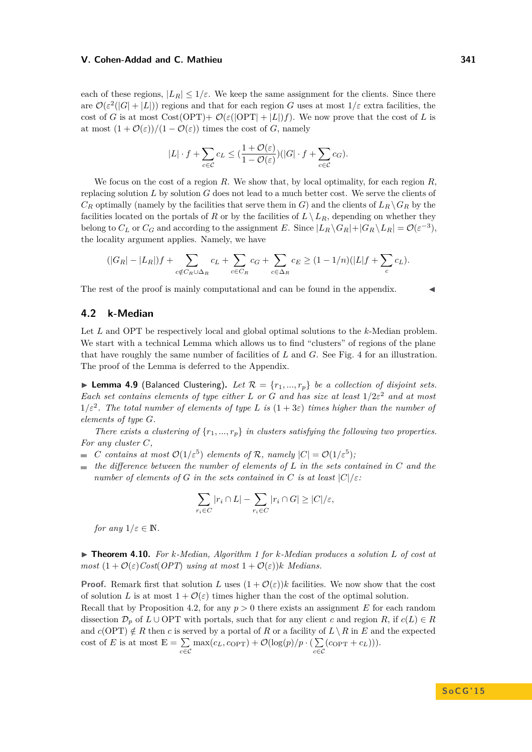each of these regions,  $|L_R| \leq 1/\varepsilon$ . We keep the same assignment for the clients. Since there are  $\mathcal{O}(\varepsilon^2(|G| + |L|))$  regions and that for each region *G* uses at most  $1/\varepsilon$  extra facilities, the cost of *G* is at most Cost(OPT)+  $\mathcal{O}(\varepsilon(|\text{OPT}| + |L|)f)$ . We now prove that the cost of *L* is at most  $(1 + \mathcal{O}(\varepsilon))/(1 - \mathcal{O}(\varepsilon))$  times the cost of *G*, namely

$$
|L| \cdot f + \sum_{c \in \mathcal{C}} c_L \le \left(\frac{1 + \mathcal{O}(\varepsilon)}{1 - \mathcal{O}(\varepsilon)}\right) (|G| \cdot f + \sum_{c \in \mathcal{C}} c_G).
$$

We focus on the cost of a region *R*. We show that, by local optimality, for each region *R*, replacing solution *L* by solution *G* does not lead to a much better cost. We serve the clients of  $C_R$  optimally (namely by the facilities that serve them in *G*) and the clients of  $L_R \backslash G_R$  by the facilities located on the portals of *R* or by the facilities of  $L \setminus L_R$ , depending on whether they belong to  $C_L$  or  $C_G$  and according to the assignment *E*. Since  $|L_R \setminus G_R| + |G_R \setminus L_R| = \mathcal{O}(\varepsilon^{-3})$ , the locality argument applies. Namely, we have

$$
(|G_R|-|L_R|)f+\sum_{c\notin C_R\cup\Delta_R}c_L+\sum_{c\in C_R}c_G+\sum_{c\in\Delta_R}c_E\geq (1-1/n)(|L|f+\sum_c c_L).
$$

The rest of the proof is mainly computational and can be found in the appendix.

## **4.2 k-Median**

Let *L* and OPT be respectively local and global optimal solutions to the *k*-Median problem. We start with a technical Lemma which allows us to find "clusters" of regions of the plane that have roughly the same number of facilities of *L* and *G*. See Fig. [4](#page-13-2) for an illustration. The proof of the Lemma is deferred to the Appendix.

<span id="page-12-0"></span>**Lemma 4.9** (Balanced Clustering). Let  $\mathcal{R} = \{r_1, ..., r_p\}$  be a collection of disjoint sets. *Each set contains elements of type either L or G and has size at least* 1*/*2*ε* <sup>2</sup> *and at most*  $1/\varepsilon^2$ . The total number of elements of type L is  $(1+3\varepsilon)$  times higher than the number of *elements of type G.*

*There exists a clustering of*  $\{r_1, ..., r_p\}$  *in clusters satisfying the following two properties. For any cluster C,*

- *C contains at most*  $\mathcal{O}(1/\varepsilon^5)$  *elements of*  $\mathcal{R}$ *, namely*  $|C| = \mathcal{O}(1/\varepsilon^5)$ *;*
- *the difference between the number of elements of L in the sets contained in C and the number of elements of G in the sets contained in C is at least*  $|C|/\varepsilon$ *:*

$$
\sum_{r_i \in C} |r_i \cap L| - \sum_{r_i \in C} |r_i \cap G| \ge |C|/\varepsilon,
$$

*for any*  $1/\varepsilon \in \mathbb{N}$ *.* 

<span id="page-12-1"></span>I **Theorem 4.10.** *For k-Median, Algorithm [1](#page-3-0) for k-Median produces a solution L of cost at most*  $(1 + \mathcal{O}(\varepsilon)) \text{Cost}(OPT)$  *using at most*  $1 + \mathcal{O}(\varepsilon)$ *)k Medians.* 

**Proof.** Remark first that solution *L* uses  $(1 + \mathcal{O}(\varepsilon))k$  facilities. We now show that the cost of solution *L* is at most  $1 + \mathcal{O}(\varepsilon)$  times higher than the cost of the optimal solution. Recall that by Proposition [4.2,](#page-8-0) for any  $p > 0$  there exists an assignment *E* for each random dissection  $\mathcal{D}_p$  of  $L \cup \text{OPT}$  with portals, such that for any client *c* and region *R*, if  $c(L) \in R$ and  $c(OPT) \notin R$  then *c* is served by a portal of *R* or a facility of  $L \setminus R$  in *E* and the expected cost of *E* is at most  $\mathbb{E} = \sum$  $\sum_{c \in \mathcal{C}} \max(c_L, c_{\text{OPT}}) + \mathcal{O}(\log(p)/p \cdot (\sum_{c \in \mathcal{C}}$  $\sum_{c \in \mathcal{C}} (c_{\text{OPT}} + c_L)).$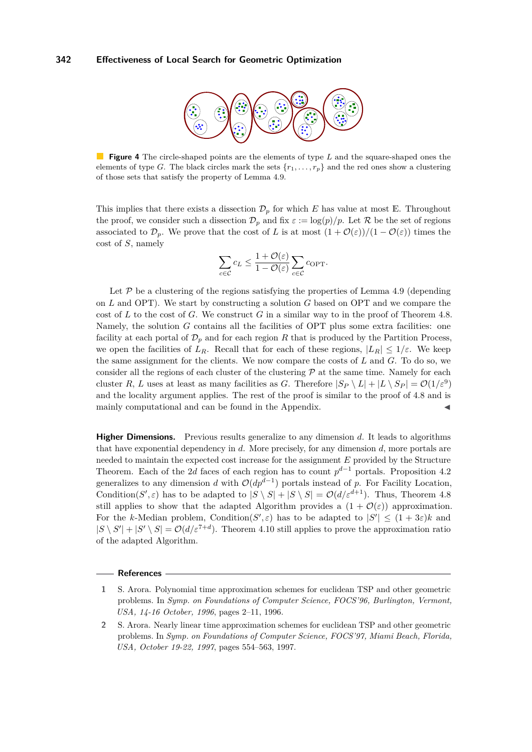

<span id="page-13-2"></span>**Figure 4** The circle-shaped points are the elements of type *L* and the square-shaped ones the elements of type *G*. The black circles mark the sets  $\{r_1, \ldots, r_p\}$  and the red ones show a clustering of those sets that satisfy the property of Lemma [4.9.](#page-12-0)

This implies that there exists a dissection  $\mathcal{D}_p$  for which *E* has value at most **E**. Throughout the proof, we consider such a dissection  $\mathcal{D}_p$  and fix  $\varepsilon := \log(p)/p$ . Let R be the set of regions associated to  $\mathcal{D}_p$ . We prove that the cost of *L* is at most  $(1 + \mathcal{O}(\varepsilon))/(1 - \mathcal{O}(\varepsilon))$  times the cost of *S*, namely

$$
\sum_{c \in \mathcal{C}} c_L \leq \frac{1 + \mathcal{O}(\varepsilon)}{1 - \mathcal{O}(\varepsilon)} \sum_{c \in \mathcal{C}} c_{\text{OPT}}.
$$

Let  $P$  be a clustering of the regions satisfying the properties of Lemma [4.9](#page-12-0) (depending on *L* and OPT). We start by constructing a solution *G* based on OPT and we compare the cost of *L* to the cost of *G*. We construct *G* in a similar way to in the proof of Theorem [4.8.](#page-11-2) Namely, the solution *G* contains all the facilities of OPT plus some extra facilities: one facility at each portal of  $\mathcal{D}_p$  and for each region R that is produced by the Partition Process, we open the facilities of  $L_R$ . Recall that for each of these regions,  $|L_R| \leq 1/\varepsilon$ . We keep the same assignment for the clients. We now compare the costs of *L* and *G*. To do so, we consider all the regions of each cluster of the clustering  $P$  at the same time. Namely for each cluster *R*, *L* uses at least as many facilities as *G*. Therefore  $|S_P \setminus L| + |L \setminus S_P| = \mathcal{O}(1/\varepsilon^9)$ and the locality argument applies. The rest of the proof is similar to the proof of [4.8](#page-11-2) and is mainly computational and can be found in the Appendix.

**Higher Dimensions.** Previous results generalize to any dimension *d*. It leads to algorithms that have exponential dependency in *d*. More precisely, for any dimension *d*, more portals are needed to maintain the expected cost increase for the assignment *E* provided by the Structure Theorem. Each of the 2*d* faces of each region has to count  $p^{d-1}$  portals. Proposition [4.2](#page-8-0) generalizes to any dimension *d* with  $\mathcal{O}(dp^{d-1})$  portals instead of *p*. For Facility Location, Condition(*S'*,  $\varepsilon$ ) has to be adapted to  $|S \setminus S| + |S \setminus S| = \mathcal{O}(d/\varepsilon^{d+1})$ . Thus, Theorem [4.8](#page-11-2) still applies to show that the adapted Algorithm provides a  $(1 + \mathcal{O}(\varepsilon))$  approximation. For the *k*-Median problem, Condition( $S'$ ,  $\varepsilon$ ) has to be adapted to  $|S'| \leq (1+3\varepsilon)k$  and  $|S \setminus S'| + |S' \setminus S| = \mathcal{O}(d/\varepsilon^{7+d})$ . Theorem [4.10](#page-12-1) still applies to prove the approximation ratio of the adapted Algorithm.

#### **References**

<span id="page-13-0"></span>**<sup>1</sup>** S. Arora. Polynomial time approximation schemes for euclidean TSP and other geometric problems. In *Symp. on Foundations of Computer Science, FOCS'96, Burlington, Vermont, USA, 14-16 October, 1996*, pages 2–11, 1996.

<span id="page-13-1"></span>**<sup>2</sup>** S. Arora. Nearly linear time approximation schemes for euclidean TSP and other geometric problems. In *Symp. on Foundations of Computer Science, FOCS'97, Miami Beach, Florida, USA, October 19-22, 1997*, pages 554–563, 1997.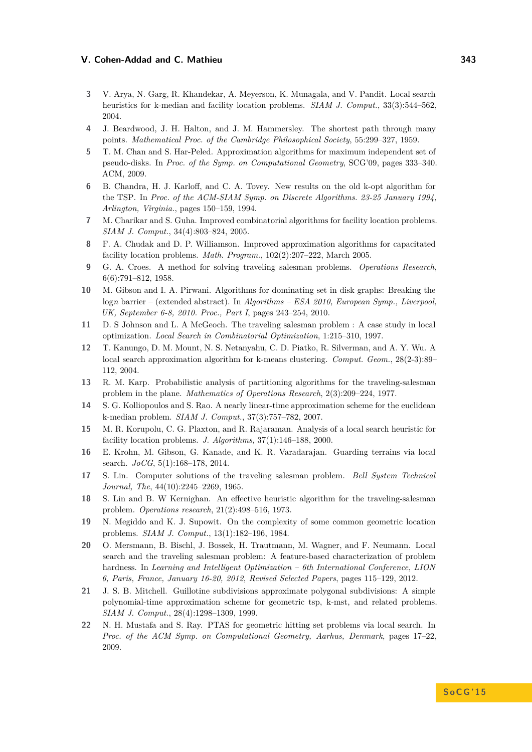- <span id="page-14-12"></span>**3** V. Arya, N. Garg, R. Khandekar, A. Meyerson, K. Munagala, and V. Pandit. Local search heuristics for k-median and facility location problems. *SIAM J. Comput.*, 33(3):544–562, 2004.
- <span id="page-14-19"></span>**4** J. Beardwood, J. H. Halton, and J. M. Hammersley. The shortest path through many points. *Mathematical Proc. of the Cambridge Philosophical Society*, 55:299–327, 1959.
- <span id="page-14-14"></span>**5** T. M. Chan and S. Har-Peled. Approximation algorithms for maximum independent set of pseudo-disks. In *Proc. of the Symp. on Computational Geometry*, SCG'09, pages 333–340. ACM, 2009.
- <span id="page-14-6"></span>**6** B. Chandra, H. J. Karloff, and C. A. Tovey. New results on the old k-opt algorithm for the TSP. In *Proc. of the ACM-SIAM Symp. on Discrete Algorithms. 23-25 January 1994, Arlington, Virginia.*, pages 150–159, 1994.
- <span id="page-14-11"></span>**7** M. Charikar and S. Guha. Improved combinatorial algorithms for facility location problems. *SIAM J. Comput.*, 34(4):803–824, 2005.
- <span id="page-14-18"></span>**8** F. A. Chudak and D. P. Williamson. Improved approximation algorithms for capacitated facility location problems. *Math. Program.*, 102(2):207–222, March 2005.
- <span id="page-14-1"></span>**9** G. A. Croes. A method for solving traveling salesman problems. *Operations Research*, 6(6):791–812, 1958.
- <span id="page-14-15"></span>**10** M. Gibson and I. A. Pirwani. Algorithms for dominating set in disk graphs: Breaking the log*n* barrier – (extended abstract). In *Algorithms – ESA 2010, European Symp., Liverpool, UK, September 6-8, 2010. Proc., Part I*, pages 243–254, 2010.
- <span id="page-14-7"></span>**11** D. S Johnson and L. A McGeoch. The traveling salesman problem : A case study in local optimization. *Local Search in Combinatorial Optimization*, 1:215–310, 1997.
- <span id="page-14-17"></span>**12** T. Kanungo, D. M. Mount, N. S. Netanyahu, C. D. Piatko, R. Silverman, and A. Y. Wu. A local search approximation algorithm for k-means clustering. *Comput. Geom.*, 28(2-3):89– 112, 2004.
- <span id="page-14-4"></span>**13** R. M. Karp. Probabilistic analysis of partitioning algorithms for the traveling-salesman problem in the plane. *Mathematics of Operations Research*, 2(3):209–224, 1977.
- <span id="page-14-0"></span>**14** S. G. Kolliopoulos and S. Rao. A nearly linear-time approximation scheme for the euclidean k-median problem. *SIAM J. Comput.*, 37(3):757–782, 2007.
- <span id="page-14-10"></span>**15** M. R. Korupolu, C. G. Plaxton, and R. Rajaraman. Analysis of a local search heuristic for facility location problems. *J. Algorithms*, 37(1):146–188, 2000.
- <span id="page-14-16"></span>**16** E. Krohn, M. Gibson, G. Kanade, and K. R. Varadarajan. Guarding terrains via local search. *JoCG*, 5(1):168–178, 2014.
- <span id="page-14-2"></span>**17** S. Lin. Computer solutions of the traveling salesman problem. *Bell System Technical Journal, The*, 44(10):2245–2269, 1965.
- <span id="page-14-3"></span>**18** S. Lin and B. W Kernighan. An effective heuristic algorithm for the traveling-salesman problem. *Operations research*, 21(2):498–516, 1973.
- <span id="page-14-9"></span>**19** N. Megiddo and K. J. Supowit. On the complexity of some common geometric location problems. *SIAM J. Comput.*, 13(1):182–196, 1984.
- <span id="page-14-8"></span>**20** O. Mersmann, B. Bischl, J. Bossek, H. Trautmann, M. Wagner, and F. Neumann. Local search and the traveling salesman problem: A feature-based characterization of problem hardness. In *Learning and Intelligent Optimization – 6th International Conference, LION 6, Paris, France, January 16-20, 2012, Revised Selected Papers*, pages 115–129, 2012.
- <span id="page-14-5"></span>**21** J. S. B. Mitchell. Guillotine subdivisions approximate polygonal subdivisions: A simple polynomial-time approximation scheme for geometric tsp, k-mst, and related problems. *SIAM J. Comput.*, 28(4):1298–1309, 1999.
- <span id="page-14-13"></span>**22** N. H. Mustafa and S. Ray. PTAS for geometric hitting set problems via local search. In *Proc. of the ACM Symp. on Computational Geometry, Aarhus, Denmark*, pages 17–22, 2009.